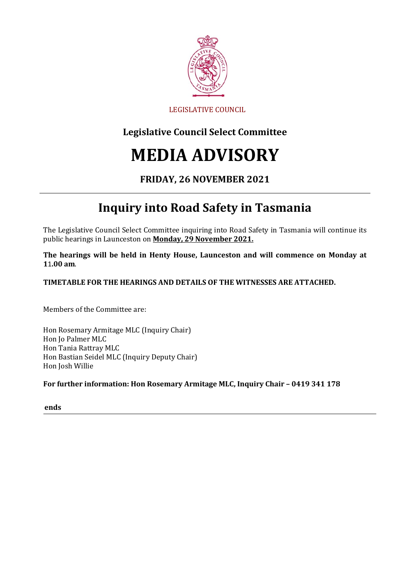

#### LEGISLATIVE COUNCIL

### **Legislative Council Select Committee**

# **MEDIA ADVISORY**

#### **FRIDAY, 26 NOVEMBER 2021**

## **Inquiry into Road Safety in Tasmania**

The Legislative Council Select Committee inquiring into Road Safety in Tasmania will continue its public hearings in Launceston on **Monday, 29 November 2021.**

**The hearings will be held in Henty House, Launceston and will commence on Monday at 1**1**.00 am**.

**TIMETABLE FOR THE HEARINGS AND DETAILS OF THE WITNESSES ARE ATTACHED.**

Members of the Committee are:

Hon Rosemary Armitage MLC (Inquiry Chair) Hon Jo Palmer MLC Hon Tania Rattray MLC Hon Bastian Seidel MLC (Inquiry Deputy Chair) Hon Josh Willie

**For further information: Hon Rosemary Armitage MLC, Inquiry Chair – 0419 341 178**

**ends**